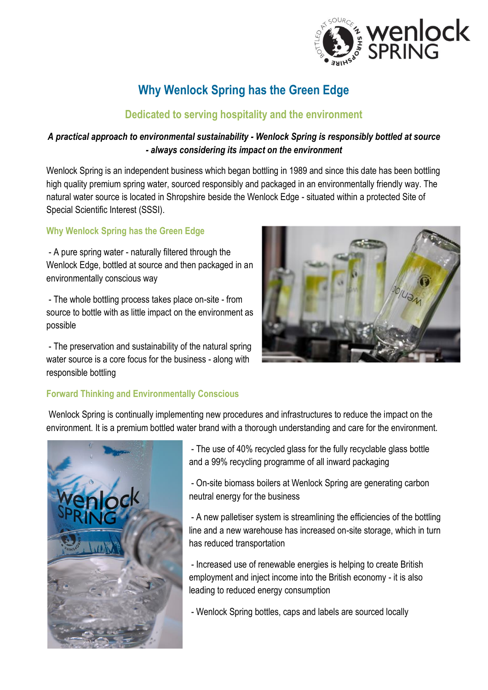

# **Why Wenlock Spring has the Green Edge**

### **Dedicated to serving hospitality and the environment**

### *A practical approach to environmental sustainability - Wenlock Spring is responsibly bottled at source - always considering its impact on the environment*

Wenlock Spring is an independent business which began bottling in 1989 and since this date has been bottling high quality premium spring water, sourced responsibly and packaged in an environmentally friendly way. The natural water source is located in Shropshire beside the Wenlock Edge - situated within a protected Site of Special Scientific Interest (SSSI).

### **Why Wenlock Spring has the Green Edge**

- A pure spring water - naturally filtered through the Wenlock Edge, bottled at source and then packaged in an environmentally conscious way

- The whole bottling process takes place on-site - from source to bottle with as little impact on the environment as possible

- The preservation and sustainability of the natural spring water source is a core focus for the business - along with responsible bottling

## **Forward Thinking and Environmentally Conscious**

Wenlock Spring is continually implementing new procedures and infrastructures to reduce the impact on the environment. It is a premium bottled water brand with a thorough understanding and care for the environment.



- The use of 40% recycled glass for the fully recyclable glass bottle and a 99% recycling programme of all inward packaging

- On-site biomass boilers at Wenlock Spring are generating carbon neutral energy for the business

- A new palletiser system is streamlining the efficiencies of the bottling line and a new warehouse has increased on-site storage, which in turn has reduced transportation

- Increased use of renewable energies is helping to create British employment and inject income into the British economy - it is also leading to reduced energy consumption

- Wenlock Spring bottles, caps and labels are sourced locally